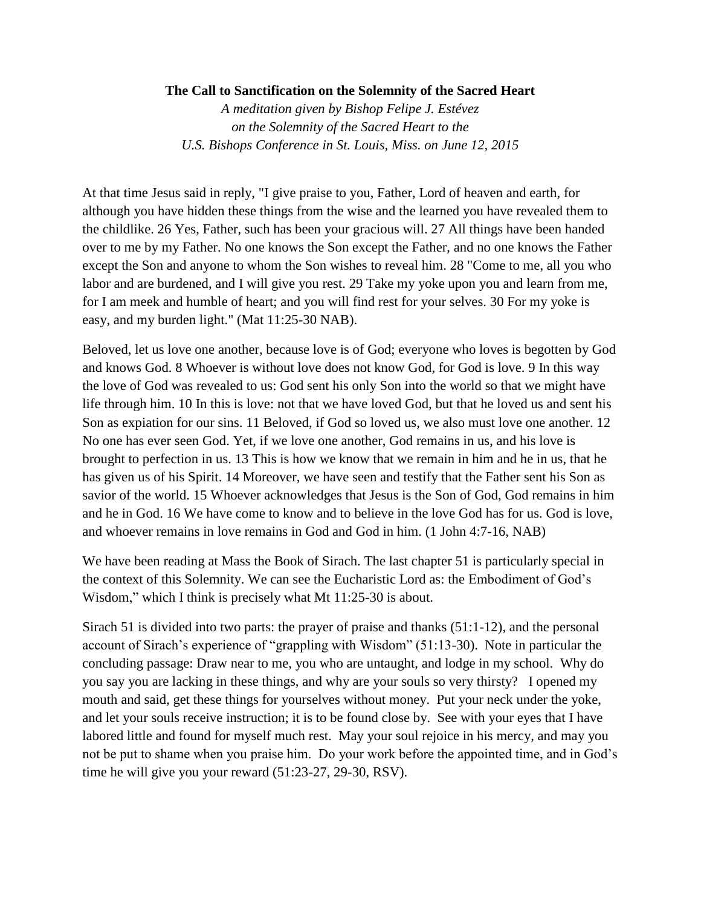## **The Call to Sanctification on the Solemnity of the Sacred Heart**

*A meditation given by Bishop Felipe J. Estévez on the Solemnity of the Sacred Heart to the U.S. Bishops Conference in St. Louis, Miss. on June 12, 2015*

At that time Jesus said in reply, "I give praise to you, Father, Lord of heaven and earth, for although you have hidden these things from the wise and the learned you have revealed them to the childlike. 26 Yes, Father, such has been your gracious will. 27 All things have been handed over to me by my Father. No one knows the Son except the Father, and no one knows the Father except the Son and anyone to whom the Son wishes to reveal him. 28 "Come to me, all you who labor and are burdened, and I will give you rest. 29 Take my yoke upon you and learn from me, for I am meek and humble of heart; and you will find rest for your selves. 30 For my yoke is easy, and my burden light." (Mat 11:25-30 NAB).

Beloved, let us love one another, because love is of God; everyone who loves is begotten by God and knows God. 8 Whoever is without love does not know God, for God is love. 9 In this way the love of God was revealed to us: God sent his only Son into the world so that we might have life through him. 10 In this is love: not that we have loved God, but that he loved us and sent his Son as expiation for our sins. 11 Beloved, if God so loved us, we also must love one another. 12 No one has ever seen God. Yet, if we love one another, God remains in us, and his love is brought to perfection in us. 13 This is how we know that we remain in him and he in us, that he has given us of his Spirit. 14 Moreover, we have seen and testify that the Father sent his Son as savior of the world. 15 Whoever acknowledges that Jesus is the Son of God, God remains in him and he in God. 16 We have come to know and to believe in the love God has for us. God is love, and whoever remains in love remains in God and God in him. (1 John 4:7-16, NAB)

We have been reading at Mass the Book of Sirach. The last chapter 51 is particularly special in the context of this Solemnity. We can see the Eucharistic Lord as: the Embodiment of God's Wisdom," which I think is precisely what Mt 11:25-30 is about.

Sirach 51 is divided into two parts: the prayer of praise and thanks (51:1-12), and the personal account of Sirach's experience of "grappling with Wisdom" (51:13-30). Note in particular the concluding passage: Draw near to me, you who are untaught, and lodge in my school. Why do you say you are lacking in these things, and why are your souls so very thirsty? I opened my mouth and said, get these things for yourselves without money. Put your neck under the yoke, and let your souls receive instruction; it is to be found close by. See with your eyes that I have labored little and found for myself much rest. May your soul rejoice in his mercy, and may you not be put to shame when you praise him. Do your work before the appointed time, and in God's time he will give you your reward (51:23-27, 29-30, RSV).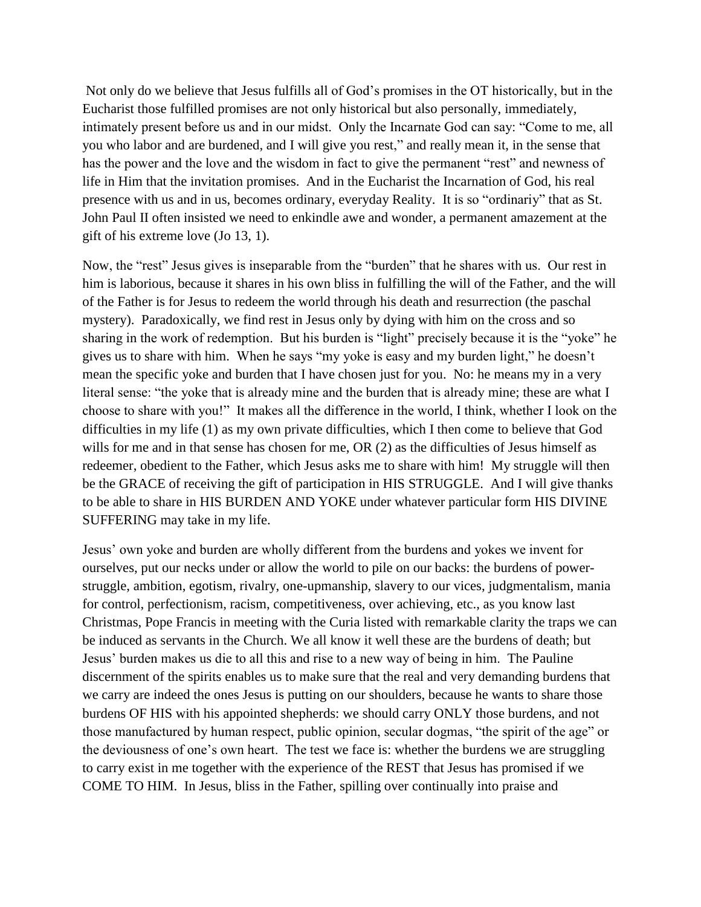Not only do we believe that Jesus fulfills all of God's promises in the OT historically, but in the Eucharist those fulfilled promises are not only historical but also personally, immediately, intimately present before us and in our midst. Only the Incarnate God can say: "Come to me, all you who labor and are burdened, and I will give you rest," and really mean it, in the sense that has the power and the love and the wisdom in fact to give the permanent "rest" and newness of life in Him that the invitation promises. And in the Eucharist the Incarnation of God, his real presence with us and in us, becomes ordinary, everyday Reality. It is so "ordinariy" that as St. John Paul II often insisted we need to enkindle awe and wonder, a permanent amazement at the gift of his extreme love (Jo 13, 1).

Now, the "rest" Jesus gives is inseparable from the "burden" that he shares with us. Our rest in him is laborious, because it shares in his own bliss in fulfilling the will of the Father, and the will of the Father is for Jesus to redeem the world through his death and resurrection (the paschal mystery). Paradoxically, we find rest in Jesus only by dying with him on the cross and so sharing in the work of redemption. But his burden is "light" precisely because it is the "yoke" he gives us to share with him. When he says "my yoke is easy and my burden light," he doesn't mean the specific yoke and burden that I have chosen just for you. No: he means my in a very literal sense: "the yoke that is already mine and the burden that is already mine; these are what I choose to share with you!" It makes all the difference in the world, I think, whether I look on the difficulties in my life (1) as my own private difficulties, which I then come to believe that God wills for me and in that sense has chosen for me, OR (2) as the difficulties of Jesus himself as redeemer, obedient to the Father, which Jesus asks me to share with him! My struggle will then be the GRACE of receiving the gift of participation in HIS STRUGGLE. And I will give thanks to be able to share in HIS BURDEN AND YOKE under whatever particular form HIS DIVINE SUFFERING may take in my life.

Jesus' own yoke and burden are wholly different from the burdens and yokes we invent for ourselves, put our necks under or allow the world to pile on our backs: the burdens of powerstruggle, ambition, egotism, rivalry, one-upmanship, slavery to our vices, judgmentalism, mania for control, perfectionism, racism, competitiveness, over achieving, etc., as you know last Christmas, Pope Francis in meeting with the Curia listed with remarkable clarity the traps we can be induced as servants in the Church. We all know it well these are the burdens of death; but Jesus' burden makes us die to all this and rise to a new way of being in him. The Pauline discernment of the spirits enables us to make sure that the real and very demanding burdens that we carry are indeed the ones Jesus is putting on our shoulders, because he wants to share those burdens OF HIS with his appointed shepherds: we should carry ONLY those burdens, and not those manufactured by human respect, public opinion, secular dogmas, "the spirit of the age" or the deviousness of one's own heart. The test we face is: whether the burdens we are struggling to carry exist in me together with the experience of the REST that Jesus has promised if we COME TO HIM. In Jesus, bliss in the Father, spilling over continually into praise and